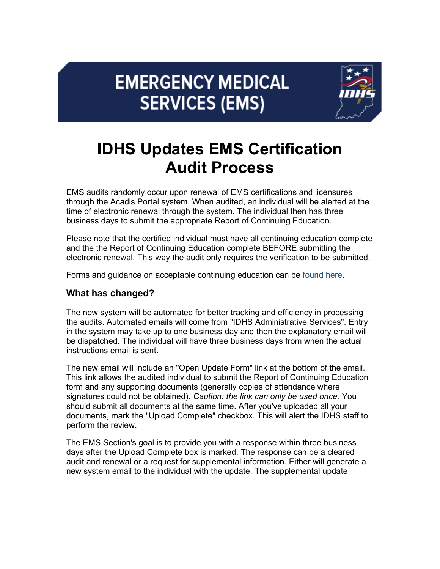## **EMERGENCY MEDICAL SERVICES (EMS)**



## **IDHS Updates EMS Certification Audit Process**

EMS audits randomly occur upon renewal of EMS certifications and licensures through the Acadis Portal system. When audited, an individual will be alerted at the time of electronic renewal through the system. The individual then has three business days to submit the appropriate Report of Continuing Education.

Please note that the certified individual must have all continuing education complete and the the Report of Continuing Education complete BEFORE submitting the electronic renewal. This way the audit only requires the verification to be submitted.

Forms and guidance on acceptable continuing education can be [found here.](https://www.in.gov/dhs/ems/individual-certifications/?utm_medium=email&utm_source=govdelivery)

## **What has changed?**

The new system will be automated for better tracking and efficiency in processing the audits. Automated emails will come from "IDHS Administrative Services". Entry in the system may take up to one business day and then the explanatory email will be dispatched. The individual will have three business days from when the actual instructions email is sent.

The new email will include an "Open Update Form" link at the bottom of the email. This link allows the audited individual to submit the Report of Continuing Education form and any supporting documents (generally copies of attendance where signatures could not be obtained). *Caution: the link can only be used once.* You should submit all documents at the same time. After you've uploaded all your documents, mark the "Upload Complete" checkbox. This will alert the IDHS staff to perform the review.

The EMS Section's goal is to provide you with a response within three business days after the Upload Complete box is marked. The response can be a cleared audit and renewal or a request for supplemental information. Either will generate a new system email to the individual with the update. The supplemental update